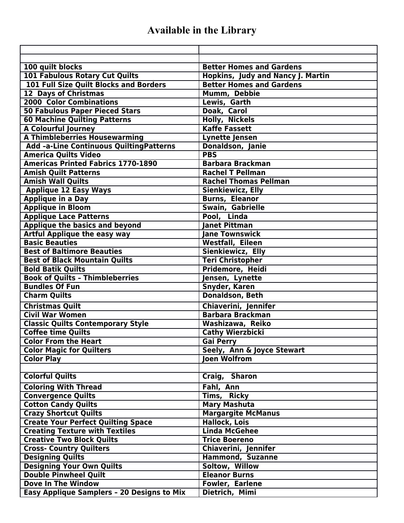## **Available in the Library**

| 100 quilt blocks                                                        | <b>Better Homes and Gardens</b>               |
|-------------------------------------------------------------------------|-----------------------------------------------|
| <b>101 Fabulous Rotary Cut Quilts</b>                                   | <b>Hopkins, Judy and Nancy J. Martin</b>      |
| 101 Full Size Quilt Blocks and Borders                                  | <b>Better Homes and Gardens</b>               |
| <b>12 Days of Christmas</b>                                             | Mumm, Debbie                                  |
| <b>2000 Color Combinations</b>                                          | Lewis, Garth                                  |
| <b>50 Fabulous Paper Pieced Stars</b>                                   | Doak, Carol                                   |
| <b>60 Machine Quilting Patterns</b>                                     | <b>Holly, Nickels</b><br><b>Kaffe Fassett</b> |
| <b>A Colourful Journey</b>                                              |                                               |
| <b>A Thimbleberries Housewarming</b>                                    | <b>Lynette Jensen</b>                         |
| Add -a-Line Continuous Quilting Patterns<br><b>America Quilts Video</b> | Donaldson, Janie<br><b>PBS</b>                |
| <b>Americas Printed Fabrics 1770-1890</b>                               | <b>Barbara Brackman</b>                       |
| <b>Amish Quilt Patterns</b>                                             | <b>Rachel T Pellman</b>                       |
| <b>Amish Wall Quilts</b>                                                | <b>Rachel Thomas Pellman</b>                  |
|                                                                         | <b>Sienkiewicz, Elly</b>                      |
| <b>Applique 12 Easy Ways</b><br><b>Applique in a Day</b>                | <b>Burns, Eleanor</b>                         |
| <b>Applique in Bloom</b>                                                | Swain, Gabrielle                              |
| <b>Applique Lace Patterns</b>                                           | Pool, Linda                                   |
| Applique the basics and beyond                                          | <b>Janet Pittman</b>                          |
| <b>Artful Applique the easy way</b>                                     | <b>Jane Townswick</b>                         |
| <b>Basic Beauties</b>                                                   | <b>Westfall, Eileen</b>                       |
| <b>Best of Baltimore Beauties</b>                                       | Sienkiewicz, Elly                             |
| <b>Best of Black Mountain Quilts</b>                                    | <b>Teri Christopher</b>                       |
| <b>Bold Batik Quilts</b>                                                | Pridemore, Heidi                              |
| <b>Book of Quilts - Thimbleberries</b>                                  | Jensen, Lynette                               |
| <b>Bundles Of Fun</b>                                                   | Snyder, Karen                                 |
| <b>Charm Quilts</b>                                                     | <b>Donaldson, Beth</b>                        |
| <b>Christmas Quilt</b>                                                  | Chiaverini, Jennifer                          |
| <b>Civil War Women</b>                                                  | <b>Barbara Brackman</b>                       |
| <b>Classic Quilts Contemporary Style</b>                                | Washizawa, Reiko                              |
| <b>Coffee time Quilts</b>                                               | <b>Cathy Wierzbicki</b>                       |
| <b>Color From the Heart</b>                                             | <b>Gai Perry</b>                              |
| <b>Color Magic for Quilters</b>                                         | Seely, Ann & Joyce Stewart                    |
| <b>Color Play</b>                                                       | <b>Joen Wolfrom</b>                           |
|                                                                         |                                               |
| <b>Colorful Quilts</b>                                                  | Craig, Sharon                                 |
| <b>Coloring With Thread</b>                                             | Fahl, Ann                                     |
| <b>Convergence Quilts</b>                                               | Tims, Ricky                                   |
| <b>Cotton Candy Quilts</b>                                              | <b>Mary Mashuta</b>                           |
| <b>Crazy Shortcut Quilts</b>                                            | <b>Margargite McManus</b>                     |
| <b>Create Your Perfect Quilting Space</b>                               | <b>Hallock, Lois</b>                          |
| <b>Creating Texture with Textiles</b>                                   | <b>Linda McGehee</b>                          |
| <b>Creative Two Block Quilts</b>                                        | <b>Trice Boereno</b>                          |
| <b>Cross- Country Quilters</b>                                          | Chiaverini, Jennifer                          |
| <b>Designing Quilts</b>                                                 | <b>Hammond, Suzanne</b>                       |
| <b>Designing Your Own Quilts</b>                                        | Soltow, Willow                                |
| <b>Double Pinwheel Quilt</b>                                            | <b>Eleanor Burns</b>                          |
| <b>Dove In The Window</b>                                               | Fowler, Earlene                               |
| <b>Easy Applique Samplers - 20 Designs to Mix</b>                       | Dietrich, Mimi                                |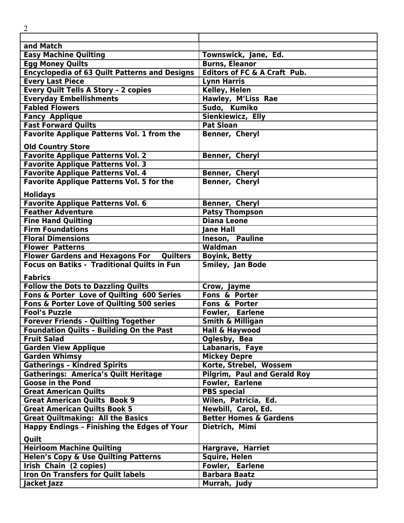| $\overline{2}$                                                                                |                                                        |
|-----------------------------------------------------------------------------------------------|--------------------------------------------------------|
|                                                                                               |                                                        |
| and Match                                                                                     |                                                        |
| <b>Easy Machine Quilting</b>                                                                  | Townswick, Jane, Ed.                                   |
| <b>Egg Money Quilts</b>                                                                       | <b>Burns, Eleanor</b>                                  |
| <b>Encyclopedia of 63 Quilt Patterns and Designs</b>                                          | <b>Editors of FC &amp; A Craft Pub.</b>                |
| <b>Every Last Piece</b>                                                                       | <b>Lynn Harris</b>                                     |
| <b>Every Quilt Tells A Story - 2 copies</b>                                                   | Kelley, Helen                                          |
| <b>Everyday Embellishments</b>                                                                | Hawley, M'Liss Rae                                     |
| <b>Fabled Flowers</b>                                                                         | Sudo, Kumiko                                           |
| <b>Fancy Applique</b>                                                                         | Sienkiewicz, Elly                                      |
| <b>Fast Forward Quilts</b>                                                                    | <b>Pat Sloan</b>                                       |
| <b>Favorite Applique Patterns Vol. 1 from the</b>                                             | Benner, Cheryl                                         |
| <b>Old Country Store</b>                                                                      |                                                        |
| <b>Favorite Applique Patterns Vol. 2</b>                                                      | Benner, Cheryl                                         |
| <b>Favorite Applique Patterns Vol. 3</b>                                                      |                                                        |
| <b>Favorite Applique Patterns Vol. 4</b>                                                      | Benner, Cheryl                                         |
| <b>Favorite Applique Patterns Vol. 5 for the</b>                                              | Benner, Cheryl                                         |
| <b>Holidays</b>                                                                               |                                                        |
| <b>Favorite Applique Patterns Vol. 6</b>                                                      | <b>Benner, Cheryl</b>                                  |
| <b>Feather Adventure</b>                                                                      | <b>Patsy Thompson</b>                                  |
| <b>Fine Hand Quilting</b>                                                                     | <b>Diana Leone</b>                                     |
| <b>Firm Foundations</b>                                                                       | <b>Jane Hall</b>                                       |
| <b>Floral Dimensions</b>                                                                      | <b>Ineson, Pauline</b>                                 |
| <b>Flower Patterns</b>                                                                        | Waldman                                                |
| <b>Flower Gardens and Hexagons For</b><br><b>Quilters</b>                                     | <b>Boyink, Betty</b>                                   |
| <b>Focus on Batiks - Traditional Quilts in Fun</b>                                            | <b>Smiley, Jan Bode</b>                                |
|                                                                                               |                                                        |
| <b>Fabrics</b>                                                                                |                                                        |
| <b>Follow the Dots to Dazzling Quilts</b>                                                     | Crow, Jayme                                            |
| Fons & Porter Love of Quilting 600 Series                                                     | Fons & Porter                                          |
| Fons & Porter Love of Quilting 500 series<br><b>Fool's Puzzle</b>                             | <b>Fons &amp; Porter</b>                               |
|                                                                                               | <b>Fowler, Earlene</b>                                 |
| <b>Forever Friends - Quilting Together</b><br><b>Foundation Quilts - Building On the Past</b> | <b>Smith &amp; Milligan</b>                            |
| <b>Fruit Salad</b>                                                                            | Hall & Haywood                                         |
| <b>Garden View Applique</b>                                                                   | Oglesby, Bea<br>Labanaris, Faye                        |
| <b>Garden Whimsy</b>                                                                          | <b>Mickey Depre</b>                                    |
| <b>Gatherings - Kindred Spirits</b>                                                           | Korte, Strebel, Wossem                                 |
|                                                                                               |                                                        |
| Gatherings: America's Quilt Heritage<br><b>Goose in the Pond</b>                              | Pilgrim, Paul and Gerald Roy<br><b>Fowler, Earlene</b> |
| <b>Great American Quilts</b>                                                                  | <b>PBS</b> special                                     |
| <b>Great American Quilts Book 9</b>                                                           |                                                        |
| <b>Great American Quilts Book 5</b>                                                           | Wilen, Patricia, Ed.<br>Newbill, Carol, Ed.            |
| <b>Great Quiltmaking: All the Basics</b>                                                      | <b>Better Homes &amp; Gardens</b>                      |
| <b>Happy Endings - Finishing the Edges of Your</b>                                            | Dietrich, Mimi                                         |
|                                                                                               |                                                        |
| Quilt                                                                                         |                                                        |
| <b>Heirloom Machine Quilting</b>                                                              | Hargrave, Harriet                                      |
| <b>Helen's Copy &amp; Use Quilting Patterns</b>                                               | <b>Squire, Helen</b>                                   |
| <b>Irish Chain (2 copies)</b>                                                                 | Fowler, Earlene                                        |
| <b>Iron On Transfers for Quilt labels</b>                                                     | <b>Barbara Baatz</b>                                   |
| Jacket Jazz                                                                                   | Murrah, Judy                                           |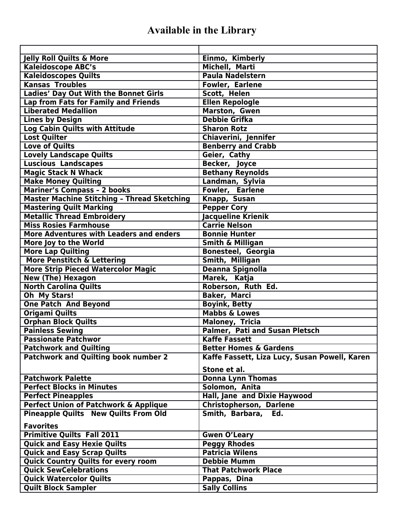## **Available in the Library**

| <b>Jelly Roll Quilts &amp; More</b>                | Einmo, Kimberly                               |
|----------------------------------------------------|-----------------------------------------------|
| <b>Kaleidoscope ABC's</b>                          | Michell, Marti                                |
| <b>Kaleidoscopes Quilts</b>                        | <b>Paula Nadelstern</b>                       |
| <b>Kansas Troubles</b>                             | Fowler, Earlene                               |
| Ladies' Day Out With the Bonnet Girls              | Scott, Helen                                  |
| Lap from Fats for Family and Friends               | <b>Ellen Repologle</b>                        |
| <b>Liberated Medallion</b>                         | <b>Marston, Gwen</b>                          |
| <b>Lines by Design</b>                             | <b>Debbie Grifka</b>                          |
| <b>Log Cabin Quilts with Attitude</b>              | <b>Sharon Rotz</b>                            |
| <b>Lost Quilter</b>                                | Chiaverini, Jennifer                          |
| <b>Love of Quilts</b>                              | <b>Benberry and Crabb</b>                     |
| <b>Lovely Landscape Quilts</b>                     | Geier, Cathy                                  |
| Luscious Landscapes                                | Becker, Joyce                                 |
| <b>Magic Stack N Whack</b>                         | <b>Bethany Reynolds</b>                       |
| <b>Make Money Quilting</b>                         | Landman, Sylvia                               |
| <b>Mariner's Compass - 2 books</b>                 | Fowler, Earlene                               |
| <b>Master Machine Stitching - Thread Sketching</b> | Knapp, Susan                                  |
| <b>Mastering Quilt Marking</b>                     | <b>Pepper Cory</b>                            |
| <b>Metallic Thread Embroidery</b>                  | Jacqueline Krienik                            |
| <b>Miss Rosies Farmhouse</b>                       | <b>Carrie Nelson</b>                          |
| <b>More Adventures with Leaders and enders</b>     | <b>Bonnie Hunter</b>                          |
| More Joy to the World                              | <b>Smith &amp; Milligan</b>                   |
| <b>More Lap Quilting</b>                           | <b>Bonesteel, Georgia</b>                     |
| More Penstitch & Lettering                         | Smith, Milligan                               |
| <b>More Strip Pieced Watercolor Magic</b>          | <b>Deanna Spignolla</b>                       |
| <b>New (The) Hexagon</b>                           | Marek, Katja                                  |
| <b>North Carolina Quilts</b>                       | Roberson, Ruth Ed.                            |
| Oh My Stars!                                       | <b>Baker, Marci</b>                           |
| <b>One Patch And Beyond</b>                        | <b>Boyink, Betty</b>                          |
| <b>Origami Quilts</b>                              | <b>Mabbs &amp; Lowes</b>                      |
| <b>Orphan Block Quilts</b>                         | <b>Maloney, Tricia</b>                        |
| <b>Painless Sewing</b>                             | <b>Palmer, Pati and Susan Pletsch</b>         |
| <b>Passionate Patchwor</b>                         | <b>Kaffe Fassett</b>                          |
| <b>Patchwork and Quilting</b>                      | <b>Better Homes &amp; Gardens</b>             |
| <b>Patchwork and Quilting book number 2</b>        | Kaffe Fassett, Liza Lucy, Susan Powell, Karen |
|                                                    |                                               |
|                                                    | Stone et al.                                  |
| <b>Patchwork Palette</b>                           | <b>Donna Lynn Thomas</b>                      |
| <b>Perfect Blocks in Minutes</b>                   | Solomon, Anita                                |
| <b>Perfect Pineapples</b>                          | Hall, Jane and Dixie Haywood                  |
| Perfect Union of Patchwork & Applique              | <b>Christopherson, Darlene</b>                |
| <b>Pineapple Quilts New Quilts From Old</b>        | Smith, Barbara,<br>Ed.                        |
| <b>Favorites</b>                                   |                                               |
| <b>Primitive Quilts Fall 2011</b>                  | <b>Gwen O'Leary</b>                           |
| <b>Quick and Easy Hexie Quilts</b>                 | <b>Peggy Rhodes</b>                           |
| <b>Quick and Easy Scrap Quilts</b>                 | <b>Patricia Wilens</b>                        |
| <b>Quick Country Quilts for every room</b>         | <b>Debbie Mumm</b>                            |
| <b>Quick SewCelebrations</b>                       | <b>That Patchwork Place</b>                   |
| <b>Quick Watercolor Quilts</b>                     | Pappas, Dina                                  |
| <b>Quilt Block Sampler</b>                         | <b>Sally Collins</b>                          |
|                                                    |                                               |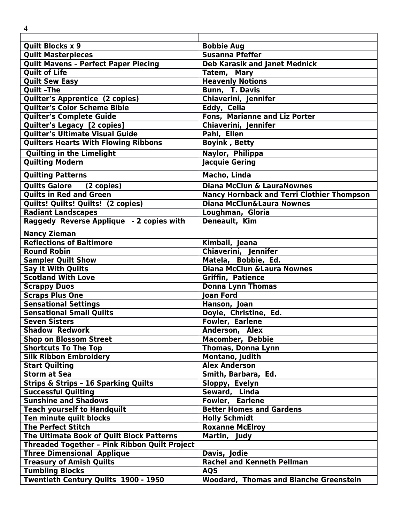| 4                                                    |                                                   |
|------------------------------------------------------|---------------------------------------------------|
|                                                      |                                                   |
| <b>Quilt Blocks x 9</b>                              | <b>Bobbie Aug</b>                                 |
| <b>Quilt Masterpieces</b>                            | <b>Susanna Pfeffer</b>                            |
| <b>Quilt Mavens - Perfect Paper Piecing</b>          | <b>Deb Karasik and Janet Mednick</b>              |
| <b>Quilt of Life</b>                                 | Tatem, Mary                                       |
| <b>Quilt Sew Easy</b>                                | <b>Heavenly Notions</b>                           |
| <b>Quilt-The</b>                                     | Bunn, T. Davis                                    |
| Quilter's Apprentice (2 copies)                      | Chiaverini, Jennifer                              |
| Quilter's Color Scheme Bible                         | Eddy, Celia                                       |
| Quilter's Complete Guide                             | <b>Fons, Marianne and Liz Porter</b>              |
| <b>Quilter's Legacy [2 copies]</b>                   | Chiaverini, Jennifer                              |
| <b>Quilter's Ultimate Visual Guide</b>               | Pahl, Ellen                                       |
| <b>Quilters Hearts With Flowing Ribbons</b>          | <b>Boyink, Betty</b>                              |
| <b>Quilting in the Limelight</b>                     | Naylor, Philippa                                  |
| <b>Quilting Modern</b>                               | <b>Jacquie Gering</b>                             |
| <b>Quilting Patterns</b>                             | <b>Macho, Linda</b>                               |
| <b>Quilts Galore</b><br>(2 copies)                   | <b>Diana McClun &amp; LauraNownes</b>             |
| <b>Quilts in Red and Green</b>                       | <b>Nancy Hornback and Terri Clothier Thompson</b> |
| Quilts! Quilts! Quilts! (2 copies)                   | Diana McClun&Laura Nownes                         |
| <b>Radiant Landscapes</b>                            | Loughman, Gloria                                  |
| Raggedy Reverse Applique - 2 copies with             | Deneault, Kim                                     |
| <b>Nancy Zieman</b>                                  |                                                   |
| <b>Reflections of Baltimore</b>                      | Kimball, Jeana                                    |
| <b>Round Robin</b>                                   | Chiaverini, Jennifer                              |
| <b>Sampler Quilt Show</b>                            | Matela, Bobbie, Ed.                               |
| <b>Say It With Quilts</b>                            | <b>Diana McClun &amp; Laura Nownes</b>            |
| <b>Scotland With Love</b>                            | <b>Griffin, Patience</b>                          |
| <b>Scrappy Duos</b>                                  | <b>Donna Lynn Thomas</b>                          |
| <b>Scraps Plus One</b>                               | <b>Joan Ford</b>                                  |
| <b>Sensational Settings</b>                          | Hanson, Joan                                      |
| <b>Sensational Small Quilts</b>                      | Doyle, Christine, Ed.                             |
| <b>Seven Sisters</b>                                 | Fowler, Earlene                                   |
| <b>Shadow Redwork</b>                                | Anderson, Alex                                    |
| <b>Shop on Blossom Street</b>                        | Macomber, Debbie                                  |
| <b>Shortcuts To The Top</b>                          | <b>Thomas, Donna Lynn</b>                         |
| <b>Silk Ribbon Embroidery</b>                        | Montano, Judith                                   |
| <b>Start Quilting</b>                                | <b>Alex Anderson</b>                              |
| <b>Storm at Sea</b>                                  | Smith, Barbara, Ed.                               |
| <b>Strips &amp; Strips - 16 Sparking Quilts</b>      | Sloppy, Evelyn                                    |
| <b>Successful Quilting</b>                           | Seward, Linda                                     |
| <b>Sunshine and Shadows</b>                          | Fowler, Earlene                                   |
| <b>Teach yourself to Handquilt</b>                   | <b>Better Homes and Gardens</b>                   |
| Ten minute quilt blocks                              | <b>Holly Schmidt</b>                              |
| <b>The Perfect Stitch</b>                            | <b>Roxanne McElroy</b>                            |
| The Ultimate Book of Quilt Block Patterns            | Martin, Judy                                      |
| <b>Threaded Together - Pink Ribbon Quilt Project</b> |                                                   |
| <b>Three Dimensional Applique</b>                    | Davis, Jodie                                      |
| <b>Treasury of Amish Quilts</b>                      | <b>Rachel and Kenneth Pellman</b>                 |
| <b>Tumbling Blocks</b>                               | <b>AQS</b>                                        |
| Twentieth Century Quilts 1900 - 1950                 | <b>Woodard, Thomas and Blanche Greenstein</b>     |